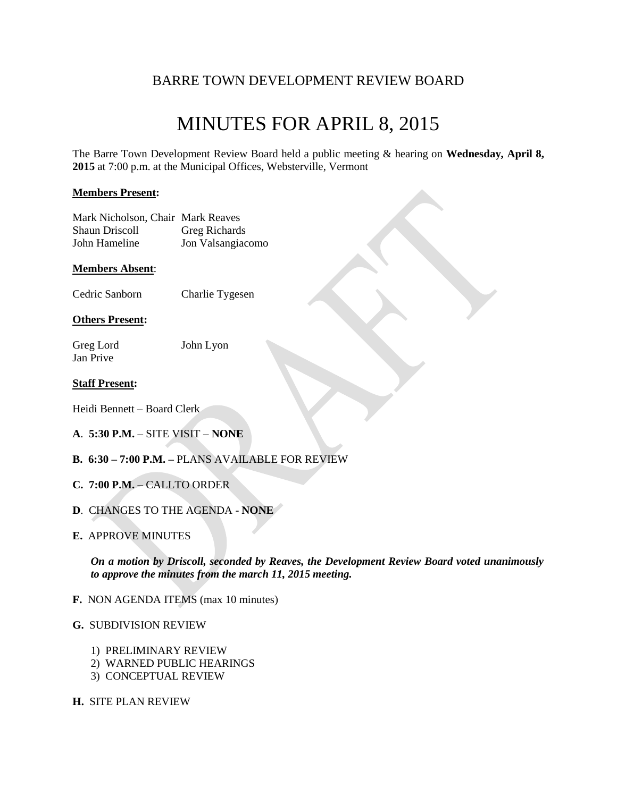## BARRE TOWN DEVELOPMENT REVIEW BOARD

## MINUTES FOR APRIL 8, 2015

The Barre Town Development Review Board held a public meeting & hearing on **Wednesday, April 8, 2015** at 7:00 p.m. at the Municipal Offices, Websterville, Vermont

#### **Members Present:**

| Mark Nicholson, Chair Mark Reaves |                      |
|-----------------------------------|----------------------|
| <b>Shaun Driscoll</b>             | <b>Greg Richards</b> |
| John Hameline                     | Jon Valsangiacomo    |

#### **Members Absent**:

Cedric Sanborn Charlie Tygesen

#### **Others Present:**

Greg Lord John Lyon Jan Prive

#### **Staff Present:**

Heidi Bennett – Board Clerk

- **A**. **5:30 P.M.** SITE VISIT **NONE**
- **B. 6:30 – 7:00 P.M. –** PLANS AVAILABLE FOR REVIEW
- **C. 7:00 P.M. –** CALLTO ORDER
- **D**. CHANGES TO THE AGENDA **NONE**
- **E.** APPROVE MINUTES

*On a motion by Driscoll, seconded by Reaves, the Development Review Board voted unanimously to approve the minutes from the march 11, 2015 meeting.*

**F.** NON AGENDA ITEMS (max 10 minutes)

#### **G.** SUBDIVISION REVIEW

- 1) PRELIMINARY REVIEW
- 2) WARNED PUBLIC HEARINGS
- 3) CONCEPTUAL REVIEW
- **H.** SITE PLAN REVIEW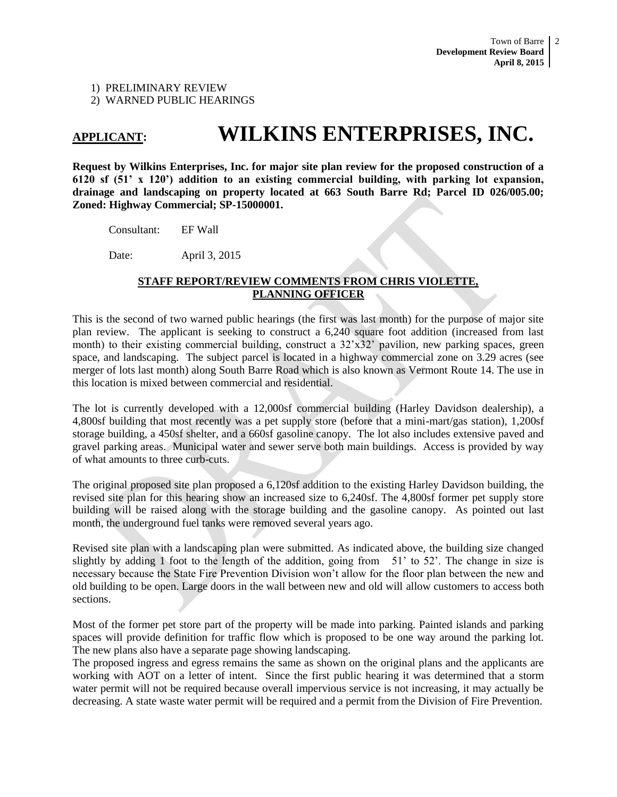1) PRELIMINARY REVIEW

2) WARNED PUBLIC HEARINGS

## **APPLICANT: WILKINS ENTERPRISES, INC.**

**Request by Wilkins Enterprises, Inc. for major site plan review for the proposed construction of a 6120 sf (51' x 120') addition to an existing commercial building, with parking lot expansion, drainage and landscaping on property located at 663 South Barre Rd; Parcel ID 026/005.00; Zoned: Highway Commercial; SP-15000001.**

Consultant: EF Wall

Date: April 3, 2015

#### **STAFF REPORT/REVIEW COMMENTS FROM CHRIS VIOLETTE, PLANNING OFFICER**

This is the second of two warned public hearings (the first was last month) for the purpose of major site plan review. The applicant is seeking to construct a 6,240 square foot addition (increased from last month) to their existing commercial building, construct a  $32'x32'$  pavilion, new parking spaces, green space, and landscaping. The subject parcel is located in a highway commercial zone on 3.29 acres (see merger of lots last month) along South Barre Road which is also known as Vermont Route 14. The use in this location is mixed between commercial and residential.

The lot is currently developed with a 12,000sf commercial building (Harley Davidson dealership), a 4,800sf building that most recently was a pet supply store (before that a mini-mart/gas station), 1,200sf storage building, a 450sf shelter, and a 660sf gasoline canopy. The lot also includes extensive paved and gravel parking areas. Municipal water and sewer serve both main buildings. Access is provided by way of what amounts to three curb-cuts.

The original proposed site plan proposed a 6,120sf addition to the existing Harley Davidson building, the revised site plan for this hearing show an increased size to 6,240sf. The 4,800sf former pet supply store building will be raised along with the storage building and the gasoline canopy. As pointed out last month, the underground fuel tanks were removed several years ago.

Revised site plan with a landscaping plan were submitted. As indicated above, the building size changed slightly by adding 1 foot to the length of the addition, going from  $51'$  to  $52'$ . The change in size is necessary because the State Fire Prevention Division won't allow for the floor plan between the new and old building to be open. Large doors in the wall between new and old will allow customers to access both sections.

Most of the former pet store part of the property will be made into parking. Painted islands and parking spaces will provide definition for traffic flow which is proposed to be one way around the parking lot. The new plans also have a separate page showing landscaping.

The proposed ingress and egress remains the same as shown on the original plans and the applicants are working with AOT on a letter of intent. Since the first public hearing it was determined that a storm water permit will not be required because overall impervious service is not increasing, it may actually be decreasing. A state waste water permit will be required and a permit from the Division of Fire Prevention.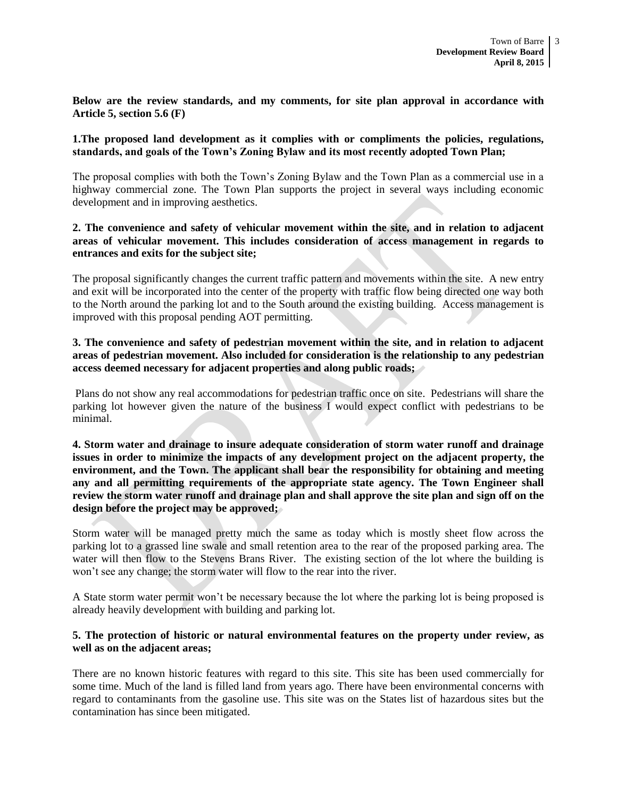**Below are the review standards, and my comments, for site plan approval in accordance with Article 5, section 5.6 (F)**

#### **1.The proposed land development as it complies with or compliments the policies, regulations, standards, and goals of the Town's Zoning Bylaw and its most recently adopted Town Plan;**

The proposal complies with both the Town's Zoning Bylaw and the Town Plan as a commercial use in a highway commercial zone. The Town Plan supports the project in several ways including economic development and in improving aesthetics.

#### **2. The convenience and safety of vehicular movement within the site, and in relation to adjacent areas of vehicular movement. This includes consideration of access management in regards to entrances and exits for the subject site;**

The proposal significantly changes the current traffic pattern and movements within the site. A new entry and exit will be incorporated into the center of the property with traffic flow being directed one way both to the North around the parking lot and to the South around the existing building. Access management is improved with this proposal pending AOT permitting.

#### **3. The convenience and safety of pedestrian movement within the site, and in relation to adjacent areas of pedestrian movement. Also included for consideration is the relationship to any pedestrian access deemed necessary for adjacent properties and along public roads;**

Plans do not show any real accommodations for pedestrian traffic once on site. Pedestrians will share the parking lot however given the nature of the business I would expect conflict with pedestrians to be minimal.

#### **4. Storm water and drainage to insure adequate consideration of storm water runoff and drainage issues in order to minimize the impacts of any development project on the adjacent property, the environment, and the Town. The applicant shall bear the responsibility for obtaining and meeting any and all permitting requirements of the appropriate state agency. The Town Engineer shall review the storm water runoff and drainage plan and shall approve the site plan and sign off on the design before the project may be approved;**

Storm water will be managed pretty much the same as today which is mostly sheet flow across the parking lot to a grassed line swale and small retention area to the rear of the proposed parking area. The water will then flow to the Stevens Brans River. The existing section of the lot where the building is won't see any change; the storm water will flow to the rear into the river.

A State storm water permit won't be necessary because the lot where the parking lot is being proposed is already heavily development with building and parking lot.

#### **5. The protection of historic or natural environmental features on the property under review, as well as on the adjacent areas;**

There are no known historic features with regard to this site. This site has been used commercially for some time. Much of the land is filled land from years ago. There have been environmental concerns with regard to contaminants from the gasoline use. This site was on the States list of hazardous sites but the contamination has since been mitigated.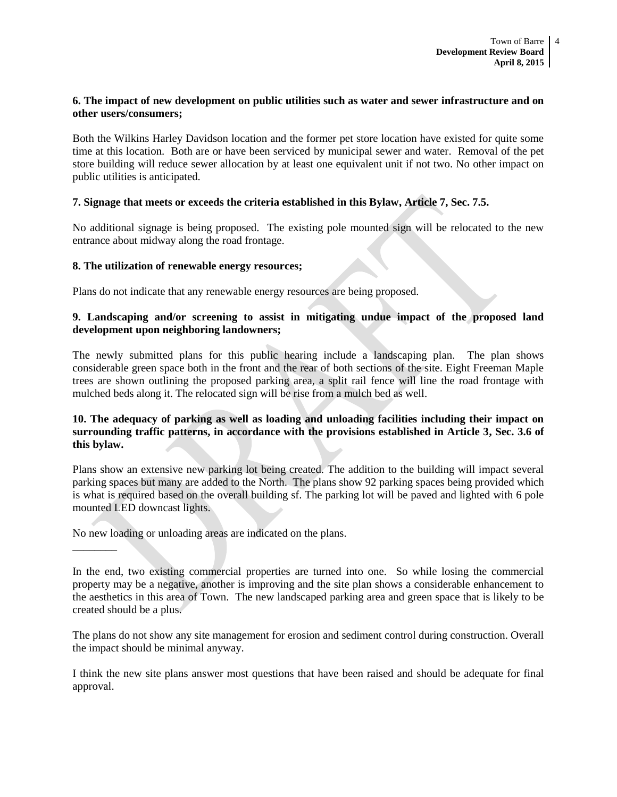#### **6. The impact of new development on public utilities such as water and sewer infrastructure and on other users/consumers;**

Both the Wilkins Harley Davidson location and the former pet store location have existed for quite some time at this location. Both are or have been serviced by municipal sewer and water. Removal of the pet store building will reduce sewer allocation by at least one equivalent unit if not two. No other impact on public utilities is anticipated.

#### **7. Signage that meets or exceeds the criteria established in this Bylaw, Article 7, Sec. 7.5.**

No additional signage is being proposed. The existing pole mounted sign will be relocated to the new entrance about midway along the road frontage.

#### **8. The utilization of renewable energy resources;**

Plans do not indicate that any renewable energy resources are being proposed.

#### **9. Landscaping and/or screening to assist in mitigating undue impact of the proposed land development upon neighboring landowners;**

The newly submitted plans for this public hearing include a landscaping plan. The plan shows considerable green space both in the front and the rear of both sections of the site. Eight Freeman Maple trees are shown outlining the proposed parking area, a split rail fence will line the road frontage with mulched beds along it. The relocated sign will be rise from a mulch bed as well.

#### **10. The adequacy of parking as well as loading and unloading facilities including their impact on surrounding traffic patterns, in accordance with the provisions established in Article 3, Sec. 3.6 of this bylaw.**

Plans show an extensive new parking lot being created. The addition to the building will impact several parking spaces but many are added to the North. The plans show 92 parking spaces being provided which is what is required based on the overall building sf. The parking lot will be paved and lighted with 6 pole mounted LED downcast lights.

No new loading or unloading areas are indicated on the plans.

 $\overline{\phantom{a}}$ 

The plans do not show any site management for erosion and sediment control during construction. Overall the impact should be minimal anyway.

I think the new site plans answer most questions that have been raised and should be adequate for final approval.

In the end, two existing commercial properties are turned into one. So while losing the commercial property may be a negative, another is improving and the site plan shows a considerable enhancement to the aesthetics in this area of Town. The new landscaped parking area and green space that is likely to be created should be a plus.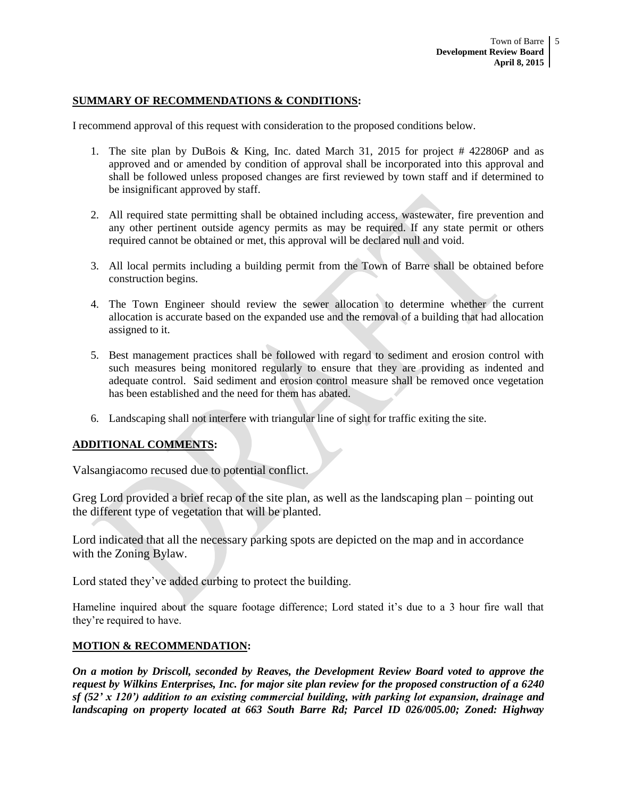#### **SUMMARY OF RECOMMENDATIONS & CONDITIONS:**

I recommend approval of this request with consideration to the proposed conditions below.

- 1. The site plan by DuBois & King, Inc. dated March 31, 2015 for project # 422806P and as approved and or amended by condition of approval shall be incorporated into this approval and shall be followed unless proposed changes are first reviewed by town staff and if determined to be insignificant approved by staff.
- 2. All required state permitting shall be obtained including access, wastewater, fire prevention and any other pertinent outside agency permits as may be required. If any state permit or others required cannot be obtained or met, this approval will be declared null and void.
- 3. All local permits including a building permit from the Town of Barre shall be obtained before construction begins.
- 4. The Town Engineer should review the sewer allocation to determine whether the current allocation is accurate based on the expanded use and the removal of a building that had allocation assigned to it.
- 5. Best management practices shall be followed with regard to sediment and erosion control with such measures being monitored regularly to ensure that they are providing as indented and adequate control. Said sediment and erosion control measure shall be removed once vegetation has been established and the need for them has abated.
- 6. Landscaping shall not interfere with triangular line of sight for traffic exiting the site.

#### **ADDITIONAL COMMENTS:**

Valsangiacomo recused due to potential conflict.

Greg Lord provided a brief recap of the site plan, as well as the landscaping plan – pointing out the different type of vegetation that will be planted.

Lord indicated that all the necessary parking spots are depicted on the map and in accordance with the Zoning Bylaw.

Lord stated they've added curbing to protect the building.

Hameline inquired about the square footage difference; Lord stated it's due to a 3 hour fire wall that they're required to have.

#### **MOTION & RECOMMENDATION:**

*On a motion by Driscoll, seconded by Reaves, the Development Review Board voted to approve the request by Wilkins Enterprises, Inc. for major site plan review for the proposed construction of a 6240 sf (52' x 120') addition to an existing commercial building, with parking lot expansion, drainage and landscaping on property located at 663 South Barre Rd; Parcel ID 026/005.00; Zoned: Highway*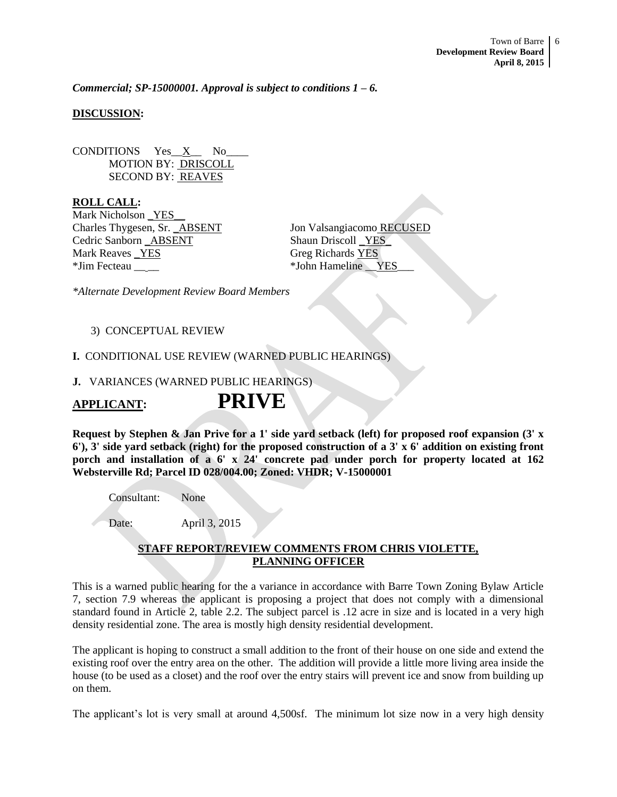*Commercial; SP-15000001. Approval is subject to conditions 1 – 6.* 

#### **DISCUSSION:**

CONDITIONS Yes X No MOTION BY: DRISCOLL SECOND BY: REAVES

**ROLL CALL:** Mark Nicholson YES Charles Thygesen, Sr. \_ABSENT Jon Valsangiacomo RECUSED Cedric Sanborn \_ABSENT Shaun Driscoll \_YES\_ Mark Reaves \_YES Greg Richards YES \*Jim Fecteau  $*$ John Hameline YES

*\*Alternate Development Review Board Members*

#### 3) CONCEPTUAL REVIEW

#### **I.** CONDITIONAL USE REVIEW (WARNED PUBLIC HEARINGS)

### **J.** VARIANCES (WARNED PUBLIC HEARINGS)

# **APPLICANT: PRIVE**

**Request by Stephen & Jan Prive for a 1' side yard setback (left) for proposed roof expansion (3' x 6'), 3' side yard setback (right) for the proposed construction of a 3' x 6' addition on existing front porch and installation of a 6' x 24' concrete pad under porch for property located at 162 Websterville Rd; Parcel ID 028/004.00; Zoned: VHDR; V-15000001**

Consultant: None

Date: April 3, 2015

#### **STAFF REPORT/REVIEW COMMENTS FROM CHRIS VIOLETTE, PLANNING OFFICER**

This is a warned public hearing for the a variance in accordance with Barre Town Zoning Bylaw Article 7, section 7.9 whereas the applicant is proposing a project that does not comply with a dimensional standard found in Article 2, table 2.2. The subject parcel is .12 acre in size and is located in a very high density residential zone. The area is mostly high density residential development.

The applicant is hoping to construct a small addition to the front of their house on one side and extend the existing roof over the entry area on the other. The addition will provide a little more living area inside the house (to be used as a closet) and the roof over the entry stairs will prevent ice and snow from building up on them.

The applicant's lot is very small at around 4,500sf. The minimum lot size now in a very high density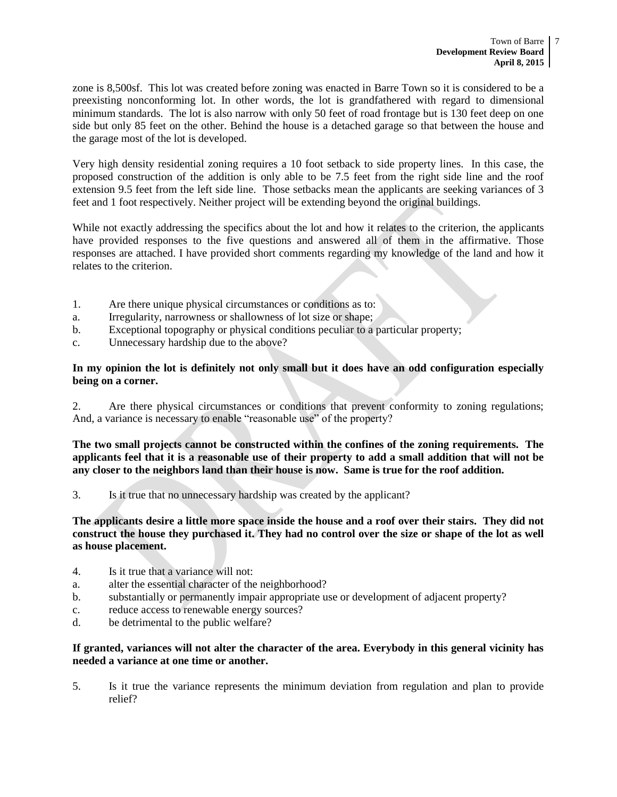zone is 8,500sf. This lot was created before zoning was enacted in Barre Town so it is considered to be a preexisting nonconforming lot. In other words, the lot is grandfathered with regard to dimensional minimum standards. The lot is also narrow with only 50 feet of road frontage but is 130 feet deep on one side but only 85 feet on the other. Behind the house is a detached garage so that between the house and the garage most of the lot is developed.

Very high density residential zoning requires a 10 foot setback to side property lines. In this case, the proposed construction of the addition is only able to be 7.5 feet from the right side line and the roof extension 9.5 feet from the left side line. Those setbacks mean the applicants are seeking variances of 3 feet and 1 foot respectively. Neither project will be extending beyond the original buildings.

While not exactly addressing the specifics about the lot and how it relates to the criterion, the applicants have provided responses to the five questions and answered all of them in the affirmative. Those responses are attached. I have provided short comments regarding my knowledge of the land and how it relates to the criterion.

- 1. Are there unique physical circumstances or conditions as to:
- a. Irregularity, narrowness or shallowness of lot size or shape;
- b. Exceptional topography or physical conditions peculiar to a particular property;
- c. Unnecessary hardship due to the above?

#### **In my opinion the lot is definitely not only small but it does have an odd configuration especially being on a corner.**

2. Are there physical circumstances or conditions that prevent conformity to zoning regulations; And, a variance is necessary to enable "reasonable use" of the property?

**The two small projects cannot be constructed within the confines of the zoning requirements. The applicants feel that it is a reasonable use of their property to add a small addition that will not be any closer to the neighbors land than their house is now. Same is true for the roof addition.** 

3. Is it true that no unnecessary hardship was created by the applicant?

**The applicants desire a little more space inside the house and a roof over their stairs. They did not construct the house they purchased it. They had no control over the size or shape of the lot as well as house placement.**

- 4. Is it true that a variance will not:
- a. alter the essential character of the neighborhood?
- b. substantially or permanently impair appropriate use or development of adjacent property?
- c. reduce access to renewable energy sources?
- d. be detrimental to the public welfare?

#### **If granted, variances will not alter the character of the area. Everybody in this general vicinity has needed a variance at one time or another.**

5. Is it true the variance represents the minimum deviation from regulation and plan to provide relief?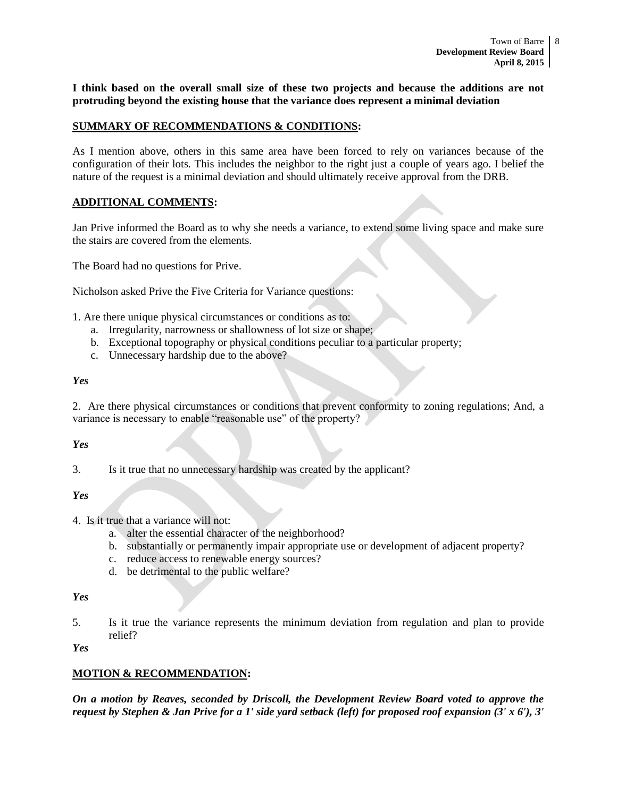**I think based on the overall small size of these two projects and because the additions are not protruding beyond the existing house that the variance does represent a minimal deviation** 

#### **SUMMARY OF RECOMMENDATIONS & CONDITIONS:**

As I mention above, others in this same area have been forced to rely on variances because of the configuration of their lots. This includes the neighbor to the right just a couple of years ago. I belief the nature of the request is a minimal deviation and should ultimately receive approval from the DRB.

#### **ADDITIONAL COMMENTS:**

Jan Prive informed the Board as to why she needs a variance, to extend some living space and make sure the stairs are covered from the elements.

The Board had no questions for Prive.

Nicholson asked Prive the Five Criteria for Variance questions:

1. Are there unique physical circumstances or conditions as to:

- a. Irregularity, narrowness or shallowness of lot size or shape;
- b. Exceptional topography or physical conditions peculiar to a particular property;
- c. Unnecessary hardship due to the above?

#### *Yes*

2. Are there physical circumstances or conditions that prevent conformity to zoning regulations; And, a variance is necessary to enable "reasonable use" of the property?

#### *Yes*

3. Is it true that no unnecessary hardship was created by the applicant?

*Yes*

4. Is it true that a variance will not:

- a. alter the essential character of the neighborhood?
- b. substantially or permanently impair appropriate use or development of adjacent property?
- c. reduce access to renewable energy sources?
- d. be detrimental to the public welfare?

*Yes*

5. Is it true the variance represents the minimum deviation from regulation and plan to provide relief?

*Yes*

#### **MOTION & RECOMMENDATION:**

*On a motion by Reaves, seconded by Driscoll, the Development Review Board voted to approve the request by Stephen & Jan Prive for a 1' side yard setback (left) for proposed roof expansion (3' x 6'), 3'*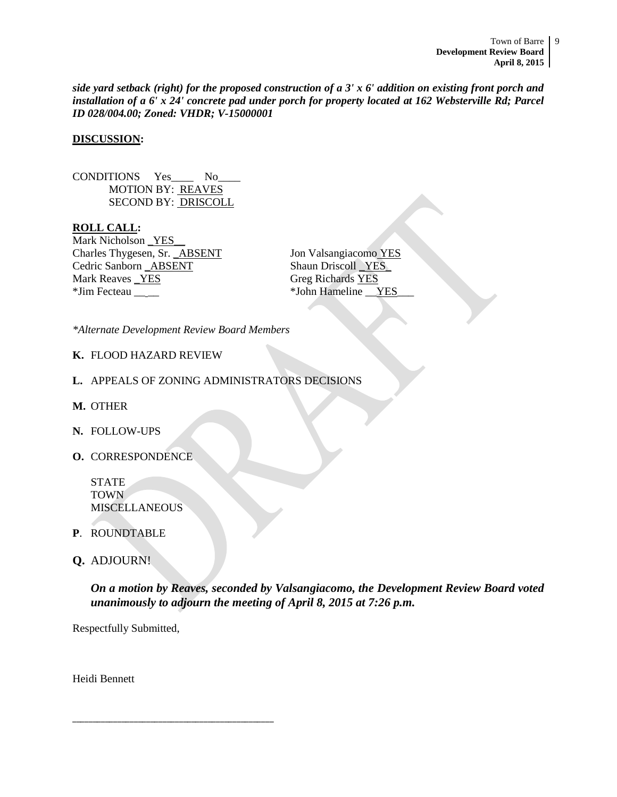*side yard setback (right) for the proposed construction of a 3' x 6' addition on existing front porch and installation of a 6' x 24' concrete pad under porch for property located at 162 Websterville Rd; Parcel ID 028/004.00; Zoned: VHDR; V-15000001*

#### **DISCUSSION:**

CONDITIONS Yes No MOTION BY: REAVES SECOND BY: DRISCOLL

**ROLL CALL:** Mark Nicholson \_YES\_\_ Charles Thygesen, Sr. **ABSENT** Jon Valsangiacomo YES Cedric Sanborn \_ABSENT Shaun Driscoll \_YES\_ Mark Reaves <u>YES</u> Greg Richards YES \*Jim Fecteau \_\_ \_\_ \*John Hameline \_\_YES\_\_\_

*\*Alternate Development Review Board Members*

#### **K.** FLOOD HAZARD REVIEW

- **L.** APPEALS OF ZONING ADMINISTRATORS DECISIONS
- **M.** OTHER
- **N.** FOLLOW-UPS
- **O.** CORRESPONDENCE

STATE TOWN **MISCELLANEOUS** 

- **P**. ROUNDTABLE
- **Q.** ADJOURN!

*On a motion by Reaves, seconded by Valsangiacomo, the Development Review Board voted unanimously to adjourn the meeting of April 8, 2015 at 7:26 p.m.*

Respectfully Submitted,

\_\_\_\_\_\_\_\_\_\_\_\_\_\_\_\_\_\_\_\_\_\_\_\_\_\_\_\_\_\_\_\_\_\_\_\_\_\_\_\_\_\_\_\_\_\_\_\_\_

Heidi Bennett